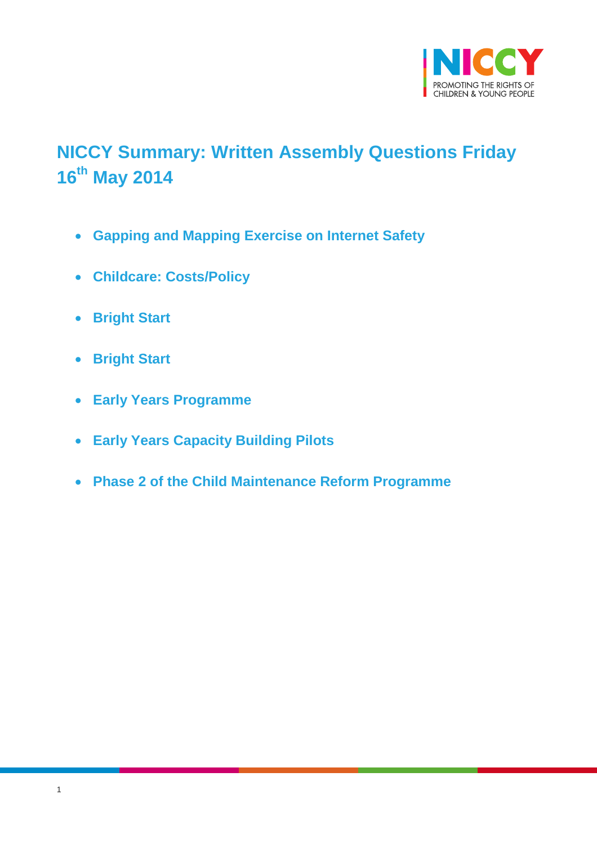

# <span id="page-0-0"></span>**NICCY Summary: Written Assembly Questions Friday 16th May 2014**

- **[Gapping and Mapping Exercise on Internet Safety](#page-1-0)**
- **[Childcare: Costs/Policy](#page-1-1)**
- **[Bright Start](#page-2-0)**
- **[Bright Start](#page-3-0)**
- **[Early Years Programme](#page-4-0)**
- **[Early Years Capacity Building Pilots](#page-4-1)**
- **[Phase 2 of the Child Maintenance Reform Programme](#page-6-0)**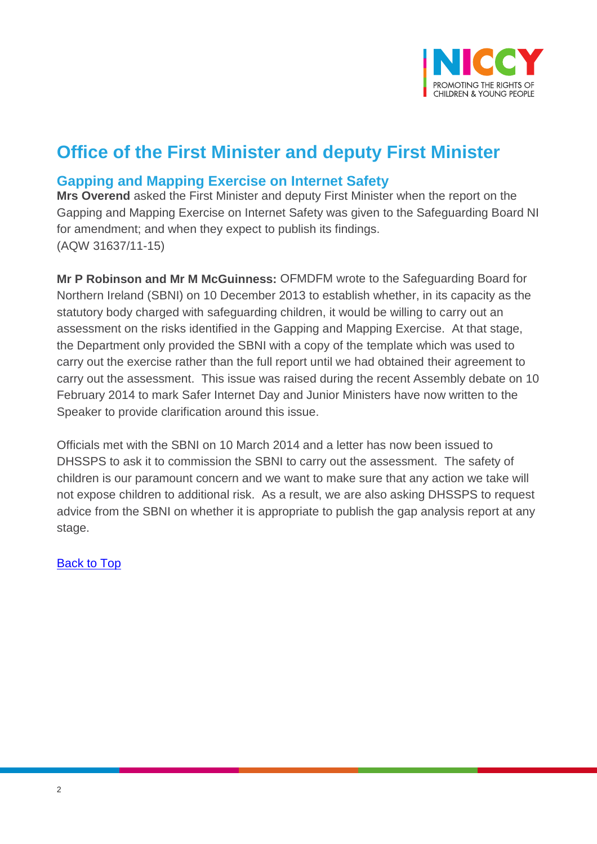

## **Office of the First Minister and deputy First Minister**

#### <span id="page-1-0"></span>**Gapping and Mapping Exercise on Internet Safety**

**Mrs Overend** asked the First Minister and deputy First Minister when the report on the Gapping and Mapping Exercise on Internet Safety was given to the Safeguarding Board NI for amendment; and when they expect to publish its findings. (AQW 31637/11-15)

**Mr P Robinson and Mr M McGuinness:** OFMDFM wrote to the Safeguarding Board for Northern Ireland (SBNI) on 10 December 2013 to establish whether, in its capacity as the statutory body charged with safeguarding children, it would be willing to carry out an assessment on the risks identified in the Gapping and Mapping Exercise. At that stage, the Department only provided the SBNI with a copy of the template which was used to carry out the exercise rather than the full report until we had obtained their agreement to carry out the assessment. This issue was raised during the recent Assembly debate on 10 February 2014 to mark Safer Internet Day and Junior Ministers have now written to the Speaker to provide clarification around this issue.

<span id="page-1-1"></span>Officials met with the SBNI on 10 March 2014 and a letter has now been issued to DHSSPS to ask it to commission the SBNI to carry out the assessment. The safety of children is our paramount concern and we want to make sure that any action we take will not expose children to additional risk. As a result, we are also asking DHSSPS to request advice from the SBNI on whether it is appropriate to publish the gap analysis report at any stage.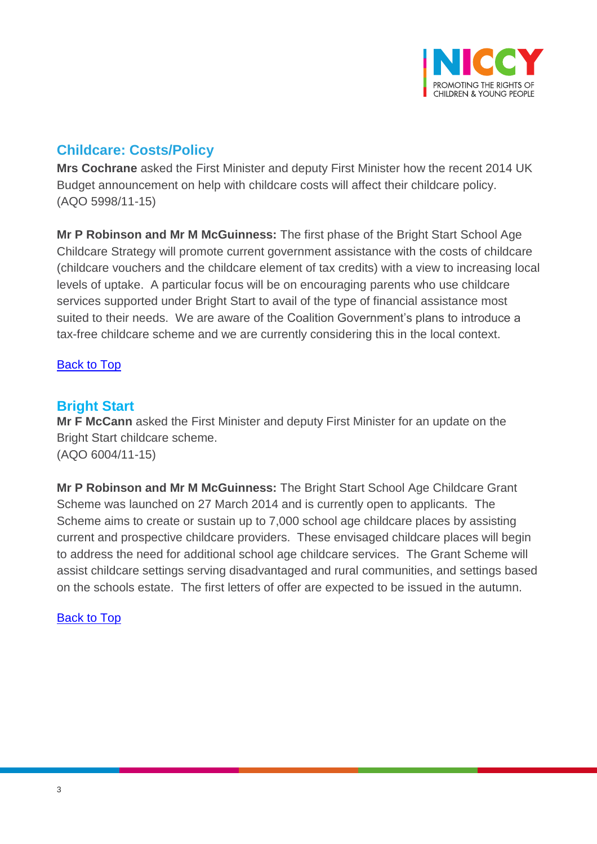

### **Childcare: Costs/Policy**

**Mrs Cochrane** asked the First Minister and deputy First Minister how the recent 2014 UK Budget announcement on help with childcare costs will affect their childcare policy. (AQO 5998/11-15)

**Mr P Robinson and Mr M McGuinness:** The first phase of the Bright Start School Age Childcare Strategy will promote current government assistance with the costs of childcare (childcare vouchers and the childcare element of tax credits) with a view to increasing local levels of uptake. A particular focus will be on encouraging parents who use childcare services supported under Bright Start to avail of the type of financial assistance most suited to their needs. We are aware of the Coalition Government's plans to introduce a tax-free childcare scheme and we are currently considering this in the local context.

#### [Back to Top](#page-0-0)

#### <span id="page-2-0"></span>**Bright Start**

**Mr F McCann** asked the First Minister and deputy First Minister for an update on the Bright Start childcare scheme. (AQO 6004/11-15)

**Mr P Robinson and Mr M McGuinness:** The Bright Start School Age Childcare Grant Scheme was launched on 27 March 2014 and is currently open to applicants. The Scheme aims to create or sustain up to 7,000 school age childcare places by assisting current and prospective childcare providers. These envisaged childcare places will begin to address the need for additional school age childcare services. The Grant Scheme will assist childcare settings serving disadvantaged and rural communities, and settings based on the schools estate. The first letters of offer are expected to be issued in the autumn.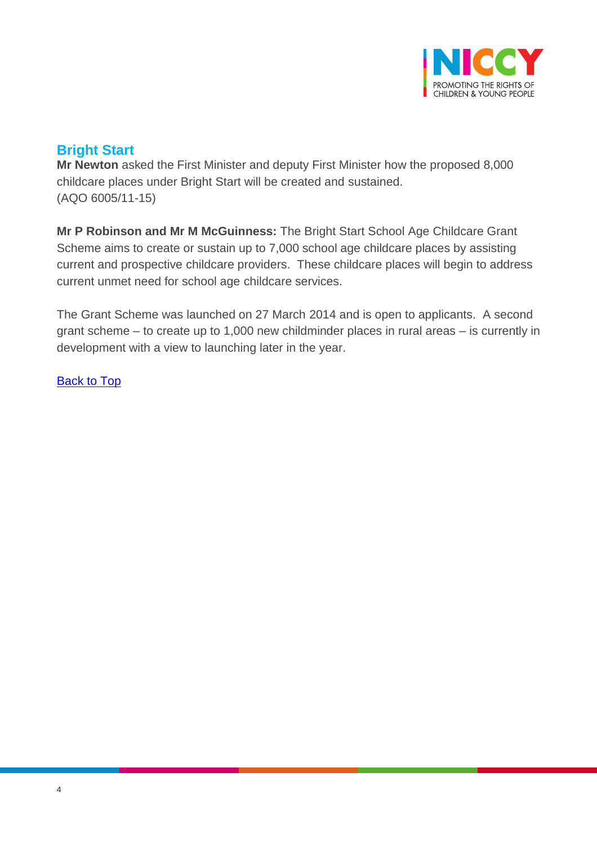

### <span id="page-3-0"></span>**Bright Start**

**Mr Newton** asked the First Minister and deputy First Minister how the proposed 8,000 childcare places under Bright Start will be created and sustained. (AQO 6005/11-15)

**Mr P Robinson and Mr M McGuinness:** The Bright Start School Age Childcare Grant Scheme aims to create or sustain up to 7,000 school age childcare places by assisting current and prospective childcare providers. These childcare places will begin to address current unmet need for school age childcare services.

The Grant Scheme was launched on 27 March 2014 and is open to applicants. A second grant scheme – to create up to 1,000 new childminder places in rural areas – is currently in development with a view to launching later in the year.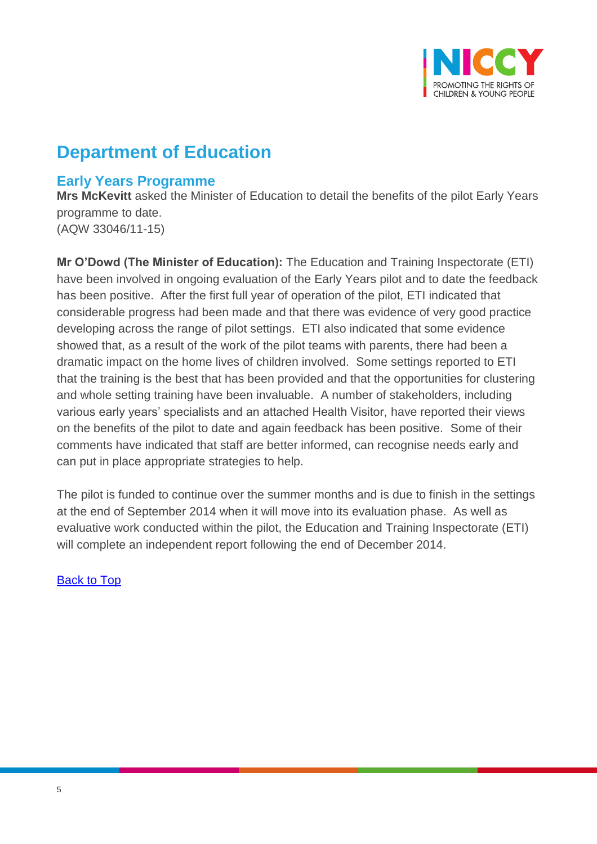

## **Department of Education**

#### <span id="page-4-0"></span>**Early Years Programme**

**Mrs McKevitt** asked the Minister of Education to detail the benefits of the pilot Early Years programme to date. (AQW 33046/11-15)

**Mr O'Dowd (The Minister of Education):** The Education and Training Inspectorate (ETI) have been involved in ongoing evaluation of the Early Years pilot and to date the feedback has been positive. After the first full year of operation of the pilot, ETI indicated that considerable progress had been made and that there was evidence of very good practice developing across the range of pilot settings. ETI also indicated that some evidence showed that, as a result of the work of the pilot teams with parents, there had been a dramatic impact on the home lives of children involved. Some settings reported to ETI that the training is the best that has been provided and that the opportunities for clustering and whole setting training have been invaluable. A number of stakeholders, including various early years' specialists and an attached Health Visitor, have reported their views on the benefits of the pilot to date and again feedback has been positive. Some of their comments have indicated that staff are better informed, can recognise needs early and can put in place appropriate strategies to help.

<span id="page-4-1"></span>The pilot is funded to continue over the summer months and is due to finish in the settings at the end of September 2014 when it will move into its evaluation phase. As well as evaluative work conducted within the pilot, the Education and Training Inspectorate (ETI) will complete an independent report following the end of December 2014.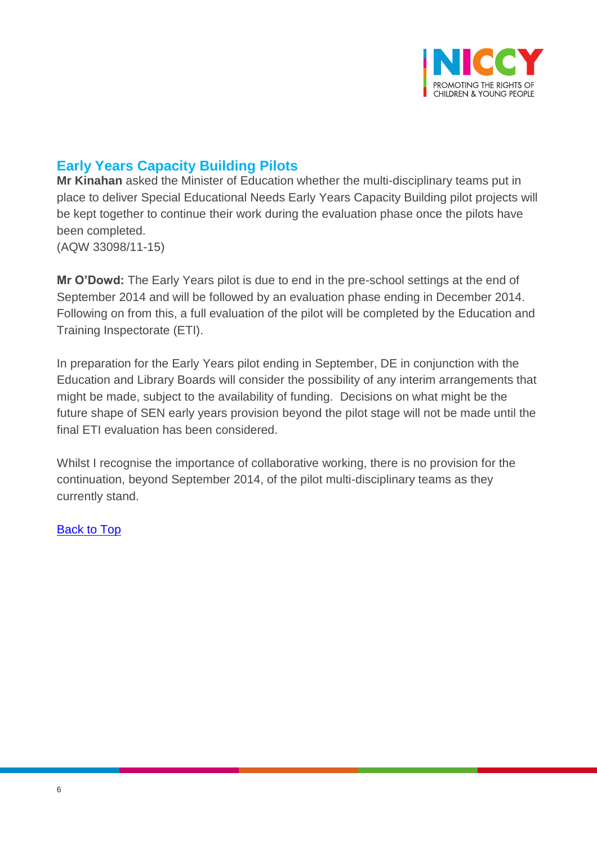

### **Early Years Capacity Building Pilots**

**Mr Kinahan** asked the Minister of Education whether the multi-disciplinary teams put in place to deliver Special Educational Needs Early Years Capacity Building pilot projects will be kept together to continue their work during the evaluation phase once the pilots have been completed. (AQW 33098/11-15)

**Mr O'Dowd:** The Early Years pilot is due to end in the pre-school settings at the end of September 2014 and will be followed by an evaluation phase ending in December 2014. Following on from this, a full evaluation of the pilot will be completed by the Education and Training Inspectorate (ETI).

In preparation for the Early Years pilot ending in September, DE in conjunction with the Education and Library Boards will consider the possibility of any interim arrangements that might be made, subject to the availability of funding. Decisions on what might be the future shape of SEN early years provision beyond the pilot stage will not be made until the final ETI evaluation has been considered.

Whilst I recognise the importance of collaborative working, there is no provision for the continuation, beyond September 2014, of the pilot multi-disciplinary teams as they currently stand.